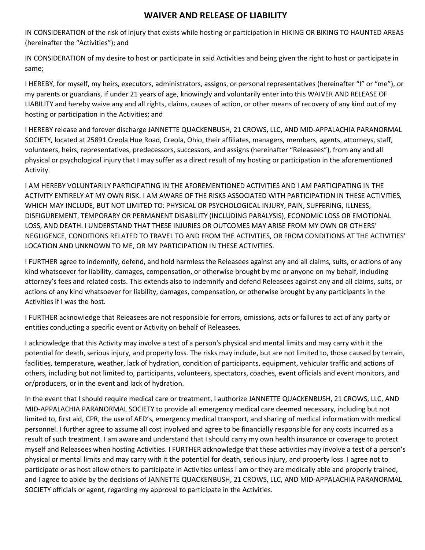## WAIVER AND RELEASE OF LIABILITY

IN CONSIDERATION of the risk of injury that exists while hosting or participation in HIKING OR BIKING TO HAUNTED AREAS (hereinafter the "Activities"); and

IN CONSIDERATION of my desire to host or participate in said Activities and being given the right to host or participate in same;

I HEREBY, for myself, my heirs, executors, administrators, assigns, or personal representatives (hereinafter "I" or "me"), or my parents or guardians, if under 21 years of age, knowingly and voluntarily enter into this WAIVER AND RELEASE OF LIABILITY and hereby waive any and all rights, claims, causes of action, or other means of recovery of any kind out of my hosting or participation in the Activities; and

I HEREBY release and forever discharge JANNETTE QUACKENBUSH, 21 CROWS, LLC, AND MID-APPALACHIA PARANORMAL SOCIETY, located at 25891 Creola Hue Road, Creola, Ohio, their affiliates, managers, members, agents, attorneys, staff, volunteers, heirs, representatives, predecessors, successors, and assigns (hereinafter "Releasees"), from any and all physical or psychological injury that I may suffer as a direct result of my hosting or participation in the aforementioned Activity.

I AM HEREBY VOLUNTARILY PARTICIPATING IN THE AFOREMENTIONED ACTIVITIES AND I AM PARTICIPATING IN THE ACTIVITY ENTIRELY AT MY OWN RISK. I AM AWARE OF THE RISKS ASSOCIATED WITH PARTICIPATION IN THESE ACTIVITIES, WHICH MAY INCLUDE, BUT NOT LIMITED TO: PHYSICAL OR PSYCHOLOGICAL INJURY, PAIN, SUFFERING, ILLNESS, DISFIGUREMENT, TEMPORARY OR PERMANENT DISABILITY (INCLUDING PARALYSIS), ECONOMIC LOSS OR EMOTIONAL LOSS, AND DEATH. I UNDERSTAND THAT THESE INJURIES OR OUTCOMES MAY ARISE FROM MY OWN OR OTHERS' NEGLIGENCE, CONDITIONS RELATED TO TRAVEL TO AND FROM THE ACTIVITIES, OR FROM CONDITIONS AT THE ACTIVITIES' LOCATION AND UNKNOWN TO ME, OR MY PARTICIPATION IN THESE ACTIVITIES.

I FURTHER agree to indemnify, defend, and hold harmless the Releasees against any and all claims, suits, or actions of any kind whatsoever for liability, damages, compensation, or otherwise brought by me or anyone on my behalf, including attorney's fees and related costs. This extends also to indemnify and defend Releasees against any and all claims, suits, or actions of any kind whatsoever for liability, damages, compensation, or otherwise brought by any participants in the Activities if I was the host.

I FURTHER acknowledge that Releasees are not responsible for errors, omissions, acts or failures to act of any party or entities conducting a specific event or Activity on behalf of Releasees.

I acknowledge that this Activity may involve a test of a person's physical and mental limits and may carry with it the potential for death, serious injury, and property loss. The risks may include, but are not limited to, those caused by terrain, facilities, temperature, weather, lack of hydration, condition of participants, equipment, vehicular traffic and actions of others, including but not limited to, participants, volunteers, spectators, coaches, event officials and event monitors, and or/producers, or in the event and lack of hydration.

In the event that I should require medical care or treatment, I authorize JANNETTE QUACKENBUSH, 21 CROWS, LLC, AND MID-APPALACHIA PARANORMAL SOCIETY to provide all emergency medical care deemed necessary, including but not limited to, first aid, CPR, the use of AED's, emergency medical transport, and sharing of medical information with medical personnel. I further agree to assume all cost involved and agree to be financially responsible for any costs incurred as a result of such treatment. I am aware and understand that I should carry my own health insurance or coverage to protect myself and Releasees when hosting Activities. I FURTHER acknowledge that these activities may involve a test of a person's physical or mental limits and may carry with it the potential for death, serious injury, and property loss. I agree not to participate or as host allow others to participate in Activities unless I am or they are medically able and properly trained, and I agree to abide by the decisions of JANNETTE QUACKENBUSH, 21 CROWS, LLC, AND MID-APPALACHIA PARANORMAL SOCIETY officials or agent, regarding my approval to participate in the Activities.